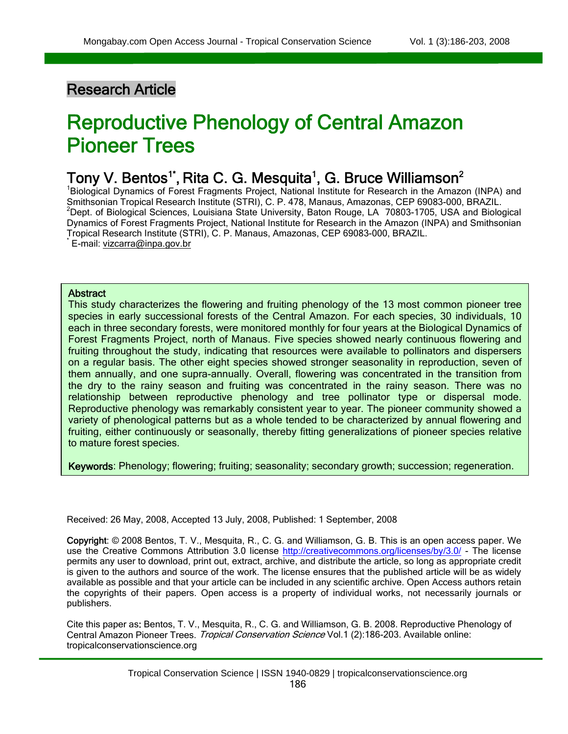### Research Article

 $\overline{a}$ 

# Reproductive Phenology of Central Amazon Pioneer Trees

## Tony V. Bentos<sup>1\*</sup>, Rita C. G. Mesquita<sup>1</sup>, G. Bruce Williamson<sup>2</sup>

<sup>1</sup>Biological Dynamics of Forest Fragments Project, National Institute for Research in the Amazon (INPA) and Smithsonian Tropical Research Institute (STRI), C. P. 478, Manaus, Amazonas, CEP 69083-000, BRAZIL.  $2$ Dept. of Biological Sciences, Louisiana State University, Baton Rouge, LA 70803-1705, USA and Biological Dynamics of Forest Fragments Project, National Institute for Research in the Amazon (INPA) and Smithsonian Tropical Research Institute (STRI), C. P. Manaus, Amazonas, CEP 69083-000, BRAZIL. \* E-mail: [vizcarra@inpa.gov.br](mailto:vizcarra@inpa.gov.br)

#### **Abstract**

Ī

 each in three secondary forests, were monitored monthly for four years at the Biological Dynamics of This study characterizes the flowering and fruiting phenology of the 13 most common pioneer tree species in early successional forests of the Central Amazon. For each species, 30 individuals, 10 Forest Fragments Project, north of Manaus. Five species showed nearly continuous flowering and fruiting throughout the study, indicating that resources were available to pollinators and dispersers on a regular basis. The other eight species showed stronger seasonality in reproduction, seven of them annually, and one supra-annually. Overall, flowering was concentrated in the transition from the dry to the rainy season and fruiting was concentrated in the rainy season. There was no relationship between reproductive phenology and tree pollinator type or dispersal mode. Reproductive phenology was remarkably consistent year to year. The pioneer community showed a variety of phenological patterns but as a whole tended to be characterized by annual flowering and fruiting, either continuously or seasonally, thereby fitting generalizations of pioneer species relative to mature forest species.

Keywords: Phenology; flowering; fruiting; seasonality; secondary growth; succession; regeneration.

Received: 26 May, 2008, Accepted 13 July, 2008, Published: 1 September, 2008

Copyright: © 2008 Bentos, T. V., Mesquita, R., C. G. and Williamson, G. B. This is an open access paper. We use the Creative Commons Attribution 3.0 license <http://creativecommons.org/licenses/by/3.0/> - The license permits any user to download, print out, extract, archive, and distribute the article, so long as appropriate credit is given to the authors and source of the work. The license ensures that the published article will be as widely available as possible and that your article can be included in any scientific archive. Open Access authors retain the copyrights of their papers. Open access is a property of individual works, not necessarily journals or publishers.

Cite this paper as: Bentos, T. V., Mesquita, R., C. G. and Williamson, G. B. 2008. Reproductive Phenology of Central Amazon Pioneer Trees. Tropical Conservation Science Vol.1 (2):186-203. Available online: tropicalconservationscience.org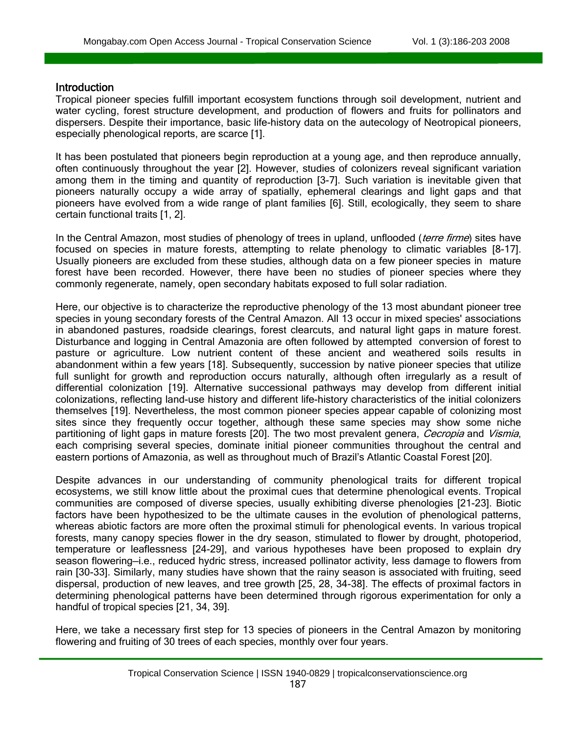#### **Introduction**

Ī

 $\overline{a}$ 

Tropical pioneer species fulfill important ecosystem functions through soil development, nutrient and water cycling, forest structure development, and production of flowers and fruits for pollinators and dispersers. Despite their importance, basic life-history data on the autecology of Neotropical pioneers, especially phenological reports, are scarce [1].

It has been postulated that pioneers begin reproduction at a young age, and then reproduce annually, often continuously throughout the year [2]. However, studies of colonizers reveal significant variation among them in the timing and quantity of reproduction [3-7]. Such variation is inevitable given that pioneers naturally occupy a wide array of spatially, ephemeral clearings and light gaps and that pioneers have evolved from a wide range of plant families [6]. Still, ecologically, they seem to share certain functional traits [1, 2].

In the Central Amazon, most studies of phenology of trees in upland, unflooded (terre firme) sites have focused on species in mature forests, attempting to relate phenology to climatic variables [8-17]. Usually pioneers are excluded from these studies, although data on a few pioneer species in mature forest have been recorded. However, there have been no studies of pioneer species where they commonly regenerate, namely, open secondary habitats exposed to full solar radiation.

Here, our objective is to characterize the reproductive phenology of the 13 most abundant pioneer tree species in young secondary forests of the Central Amazon. All 13 occur in mixed species' associations in abandoned pastures, roadside clearings, forest clearcuts, and natural light gaps in mature forest. Disturbance and logging in Central Amazonia are often followed by attempted conversion of forest to pasture or agriculture. Low nutrient content of these ancient and weathered soils results in abandonment within a few years [18]. Subsequently, succession by native pioneer species that utilize full sunlight for growth and reproduction occurs naturally, although often irregularly as a result of differential colonization [19]. Alternative successional pathways may develop from different initial colonizations, reflecting land-use history and different life-history characteristics of the initial colonizers themselves [19]. Nevertheless, the most common pioneer species appear capable of colonizing most sites since they frequently occur together, although these same species may show some niche partitioning of light gaps in mature forests [20]. The two most prevalent genera, Cecropia and Vismia, each comprising several species, dominate initial pioneer communities throughout the central and eastern portions of Amazonia, as well as throughout much of Brazil's Atlantic Coastal Forest [20].

Despite advances in our understanding of community phenological traits for different tropical ecosystems, we still know little about the proximal cues that determine phenological events. Tropical communities are composed of diverse species, usually exhibiting diverse phenologies [21-23]. Biotic factors have been hypothesized to be the ultimate causes in the evolution of phenological patterns, whereas abiotic factors are more often the proximal stimuli for phenological events. In various tropical forests, many canopy species flower in the dry season, stimulated to flower by drought, photoperiod, temperature or leaflessness [24-29], and various hypotheses have been proposed to explain dry season flowering—i.e., reduced hydric stress, increased pollinator activity, less damage to flowers from rain [30-33]. Similarly, many studies have shown that the rainy season is associated with fruiting, seed dispersal, production of new leaves, and tree growth [25, 28, 34-38]. The effects of proximal factors in determining phenological patterns have been determined through rigorous experimentation for only a handful of tropical species [21, 34, 39].

Here, we take a necessary first step for 13 species of pioneers in the Central Amazon by monitoring flowering and fruiting of 30 trees of each species, monthly over four years.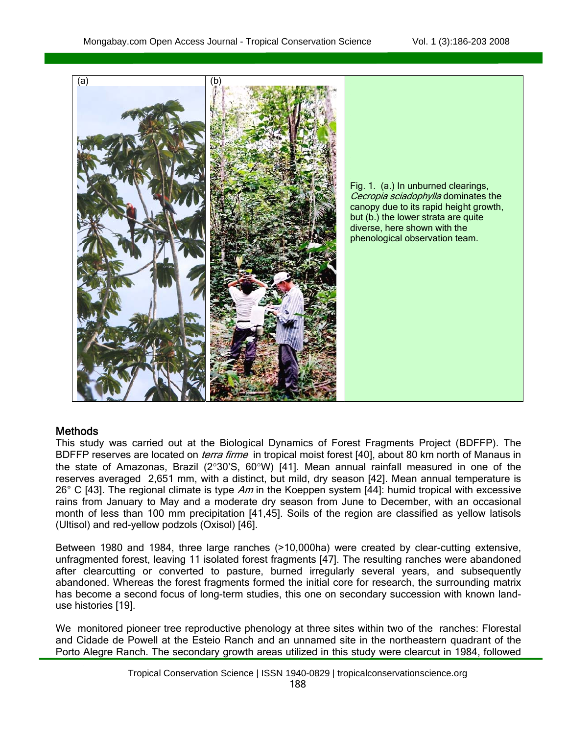

#### Methods

Ī

 $\overline{a}$ 

This study was carried out at the Biological Dynamics of Forest Fragments Project (BDFFP). The BDFFP reserves are located on *terra firme* in tropical moist forest [40], about 80 km north of Manaus in the state of Amazonas, Brazil (2°30'S, 60°W) [41]. Mean annual rainfall measured in one of the reserves averaged 2,651 mm, with a distinct, but mild, dry season [42]. Mean annual temperature is 26° C [43]. The regional climate is type Am in the Koeppen system [44]: humid tropical with excessive rains from January to May and a moderate dry season from June to December, with an occasional month of less than 100 mm precipitation [41,45]. Soils of the region are classified as yellow latisols (Ultisol) and red-yellow podzols (Oxisol) [46].

Between 1980 and 1984, three large ranches (>10,000ha) were created by clear-cutting extensive, unfragmented forest, leaving 11 isolated forest fragments [47]. The resulting ranches were abandoned after clearcutting or converted to pasture, burned irregularly several years, and subsequently abandoned. Whereas the forest fragments formed the initial core for research, the surrounding matrix has become a second focus of long-term studies, this one on secondary succession with known landuse histories [19].

We monitored pioneer tree reproductive phenology at three sites within two of the ranches: Florestal and Cidade de Powell at the Esteio Ranch and an unnamed site in the northeastern quadrant of the Porto Alegre Ranch. The secondary growth areas utilized in this study were clearcut in 1984, followed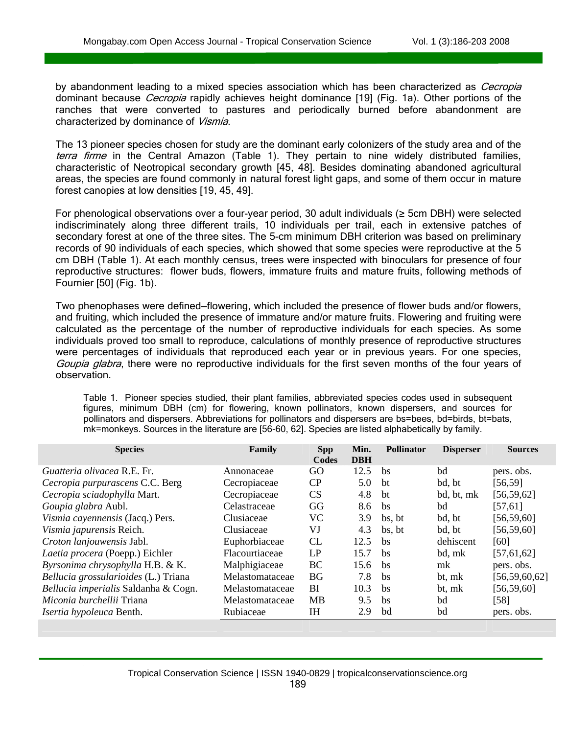Ī

by abandonment leading to a mixed species association which has been characterized as *Cecropia* dominant because *Cecropia* rapidly achieves height dominance [19] (Fig. 1a). Other portions of the ranches that were converted to pastures and periodically burned before abandonment are characterized by dominance of Vismia.

The 13 pioneer species chosen for study are the dominant early colonizers of the study area and of the terra firme in the Central Amazon (Table 1). They pertain to nine widely distributed families, characteristic of Neotropical secondary growth [45, 48]. Besides dominating abandoned agricultural areas, the species are found commonly in natural forest light gaps, and some of them occur in mature forest canopies at low densities [19, 45, 49].

For phenological observations over a four-year period, 30 adult individuals (≥ 5cm DBH) were selected indiscriminately along three different trails, 10 individuals per trail, each in extensive patches of secondary forest at one of the three sites. The 5-cm minimum DBH criterion was based on preliminary records of 90 individuals of each species, which showed that some species were reproductive at the 5 cm DBH (Table 1). At each monthly census, trees were inspected with binoculars for presence of four reproductive structures: flower buds, flowers, immature fruits and mature fruits, following methods of Fournier [50] (Fig. 1b).

Two phenophases were defined—flowering, which included the presence of flower buds and/or flowers, and fruiting, which included the presence of immature and/or mature fruits. Flowering and fruiting were calculated as the percentage of the number of reproductive individuals for each species. As some individuals proved too small to reproduce, calculations of monthly presence of reproductive structures were percentages of individuals that reproduced each year or in previous years. For one species, Goupia glabra, there were no reproductive individuals for the first seven months of the four years of observation.

Table 1. Pioneer species studied, their plant families, abbreviated species codes used in subsequent figures, minimum DBH (cm) for flowering, known pollinators, known dispersers, and sources for pollinators and dispersers. Abbreviations for pollinators and dispersers are bs=bees, bd=birds, bt=bats, mk=monkeys. Sources in the literature are [56-60, 62]. Species are listed alphabetically by family.

| <b>Species</b>                       | Family          | <b>Spp</b><br>Codes | Min.<br><b>DBH</b> | <b>Pollinator</b> | <b>Disperser</b> | <b>Sources</b>   |
|--------------------------------------|-----------------|---------------------|--------------------|-------------------|------------------|------------------|
| <i>Guatteria olivacea</i> R.E. Fr.   | Annonaceae      | GO                  | 12.5               | hs                | bd               | pers. obs.       |
| Cecropia purpurascens C.C. Berg      | Cecropiaceae    | CP                  | 5.0                | bt                | bd, bt           | [56, 59]         |
| Cecropia sciadophylla Mart.          | Cecropiaceae    | <b>CS</b>           | 4.8                | bt                | bd, bt, mk       | [56, 59, 62]     |
| Goupia glabra Aubl.                  | Celastraceae    | GG                  | 8.6                | bs                | bd               | [57, 61]         |
| Vismia cayennensis (Jacq.) Pers.     | Clusiaceae      | VC.                 | 3.9                | bs. bt            | bd, bt           | [56, 59, 60]     |
| <i>Vismia japurensis</i> Reich.      | Clusiaceae      | VJ                  | 4.3                | bs. bt            | bd. bt           | [56, 59, 60]     |
| Croton lanjouwensis Jabl.            | Euphorbiaceae   | CL                  | 12.5               | <b>bs</b>         | dehiscent        | [60]             |
| Laetia procera (Poepp.) Eichler      | Flacourtiaceae  | LP                  | 15.7               | <b>bs</b>         | bd, mk           | [57, 61, 62]     |
| Byrsonima chrysophylla H.B. & K.     | Malphigiaceae   | BC                  | 15.6               | <sub>bs</sub>     | mk               | pers. obs.       |
| Bellucia grossularioides (L.) Triana | Melastomataceae | <b>BG</b>           | 7.8                | <b>bs</b>         | bt, mk           | [56, 59, 60, 62] |
| Bellucia imperialis Saldanha & Cogn. | Melastomataceae | BI                  | 10.3               | <b>bs</b>         | bt, mk           | [56, 59, 60]     |
| <i>Miconia burchellii</i> Triana     | Melastomataceae | <b>MB</b>           | 9.5                | <b>bs</b>         | bd               | $[58]$           |
| Isertia hypoleuca Benth.             | Rubiaceae       | IH                  | 2.9                | bd                | bd               | pers. obs.       |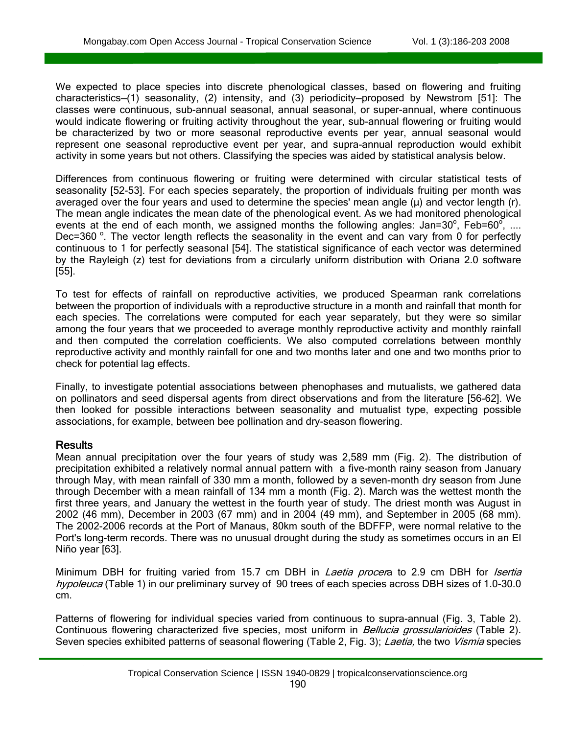We expected to place species into discrete phenological classes, based on flowering and fruiting characteristics—(1) seasonality, (2) intensity, and (3) periodicity—proposed by Newstrom [51]: The classes were continuous, sub-annual seasonal, annual seasonal, or super-annual, where continuous would indicate flowering or fruiting activity throughout the year, sub-annual flowering or fruiting would be characterized by two or more seasonal reproductive events per year, annual seasonal would represent one seasonal reproductive event per year, and supra-annual reproduction would exhibit activity in some years but not others. Classifying the species was aided by statistical analysis below.

Differences from continuous flowering or fruiting were determined with circular statistical tests of seasonality [52-53]. For each species separately, the proportion of individuals fruiting per month was averaged over the four years and used to determine the species' mean angle  $(μ)$  and vector length (r). The mean angle indicates the mean date of the phenological event. As we had monitored phenological events at the end of each month, we assigned months the following angles: Jan=30°, Feb=60°, .... Dec=360  $\degree$ . The vector length reflects the seasonality in the event and can vary from 0 for perfectly continuous to 1 for perfectly seasonal [54]. The statistical significance of each vector was determined by the Rayleigh (z) test for deviations from a circularly uniform distribution with Oriana 2.0 software [55].

To test for effects of rainfall on reproductive activities, we produced Spearman rank correlations between the proportion of individuals with a reproductive structure in a month and rainfall that month for each species. The correlations were computed for each year separately, but they were so similar among the four years that we proceeded to average monthly reproductive activity and monthly rainfall and then computed the correlation coefficients. We also computed correlations between monthly reproductive activity and monthly rainfall for one and two months later and one and two months prior to check for potential lag effects.

Finally, to investigate potential associations between phenophases and mutualists, we gathered data on pollinators and seed dispersal agents from direct observations and from the literature [56-62]. We then looked for possible interactions between seasonality and mutualist type, expecting possible associations, for example, between bee pollination and dry-season flowering.

#### **Results**

Ī

 $\overline{a}$ 

Mean annual precipitation over the four years of study was 2,589 mm (Fig. 2). The distribution of precipitation exhibited a relatively normal annual pattern with a five-month rainy season from January through May, with mean rainfall of 330 mm a month, followed by a seven-month dry season from June through December with a mean rainfall of 134 mm a month (Fig. 2). March was the wettest month the first three years, and January the wettest in the fourth year of study. The driest month was August in 2002 (46 mm), December in 2003 (67 mm) and in 2004 (49 mm), and September in 2005 (68 mm). The 2002-2006 records at the Port of Manaus, 80km south of the BDFFP, were normal relative to the Port's long-term records. There was no unusual drought during the study as sometimes occurs in an El Niño year [63].

Minimum DBH for fruiting varied from 15.7 cm DBH in *Laetia procer*a to 2.9 cm DBH for *Isertia* hypoleuca (Table 1) in our preliminary survey of 90 trees of each species across DBH sizes of 1.0-30.0 cm.

Patterns of flowering for individual species varied from continuous to supra-annual (Fig. 3, Table 2). Continuous flowering characterized five species, most uniform in *Bellucia grossularioides* (Table 2). Seven species exhibited patterns of seasonal flowering (Table 2, Fig. 3); Laetia, the two Vismia species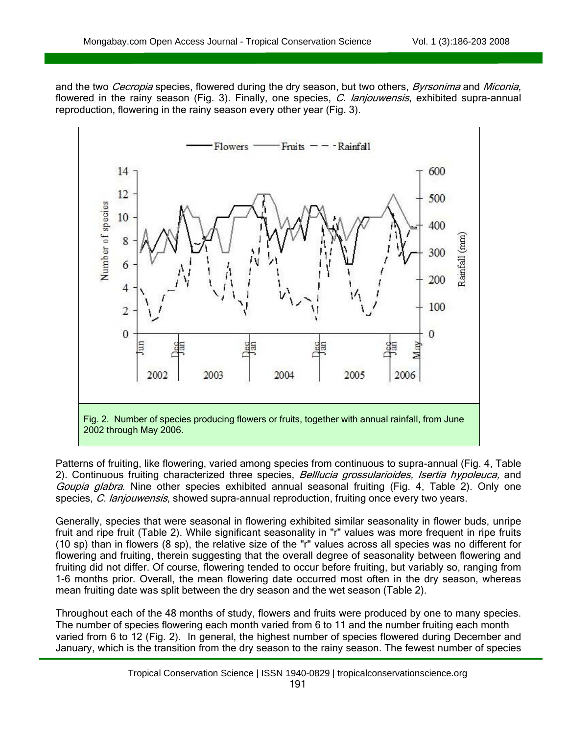Ī

and the two Cecropia species, flowered during the dry season, but two others, Byrsonima and Miconia, flowered in the rainy season (Fig. 3). Finally, one species, C. lanjouwensis, exhibited supra-annual reproduction, flowering in the rainy season every other year (Fig. 3).



Patterns of fruiting, like flowering, varied among species from continuous to supra-annual (Fig. 4, Table 2). Continuous fruiting characterized three species, Belllucia grossularioides, Isertia hypoleuca, and Goupia glabra. Nine other species exhibited annual seasonal fruiting (Fig. 4, Table 2). Only one species, C. lanjouwensis, showed supra-annual reproduction, fruiting once every two years.

Generally, species that were seasonal in flowering exhibited similar seasonality in flower buds, unripe fruit and ripe fruit (Table 2). While significant seasonality in "r" values was more frequent in ripe fruits (10 sp) than in flowers (8 sp), the relative size of the "r" values across all species was no different for flowering and fruiting, therein suggesting that the overall degree of seasonality between flowering and fruiting did not differ. Of course, flowering tended to occur before fruiting, but variably so, ranging from 1-6 months prior. Overall, the mean flowering date occurred most often in the dry season, whereas mean fruiting date was split between the dry season and the wet season (Table 2).

Throughout each of the 48 months of study, flowers and fruits were produced by one to many species. The number of species flowering each month varied from 6 to 11 and the number fruiting each month varied from 6 to 12 (Fig. 2). In general, the highest number of species flowered during December and January, which is the transition from the dry season to the rainy season. The fewest number of species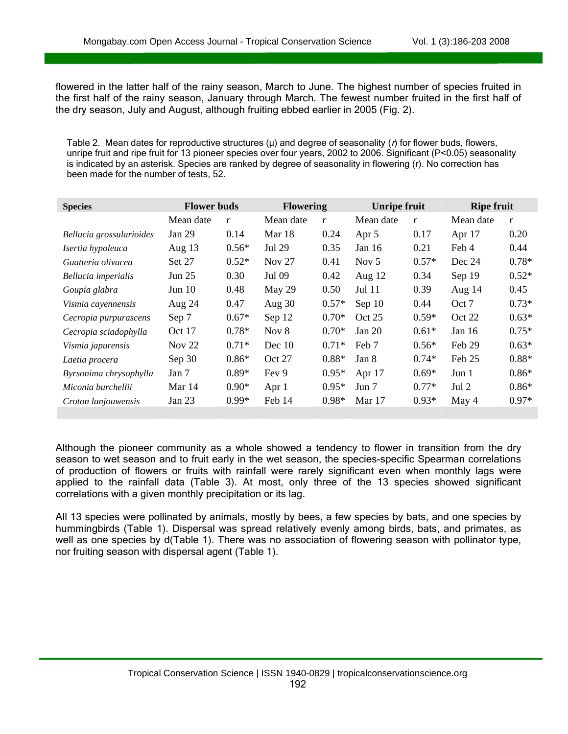Ī

flowered in the latter half of the rainy season, March to June. The highest number of species fruited in the first half of the rainy season, January through March. The fewest number fruited in the first half of the dry season, July and August, although fruiting ebbed earlier in 2005 (Fig. 2).

Table 2. Mean dates for reproductive structures ( $\mu$ ) and degree of seasonality ( $\eta$ ) for flower buds, flowers, unripe fruit and ripe fruit for 13 pioneer species over four years, 2002 to 2006. Significant (P<0.05) seasonality is indicated by an asterisk. Species are ranked by degree of seasonality in flowering (r). No correction has been made for the number of tests, 52.

| <b>Species</b>           | <b>Flower buds</b> |         | <b>Flowering</b> |         | <b>Unripe fruit</b> |         | <b>Ripe fruit</b> |         |
|--------------------------|--------------------|---------|------------------|---------|---------------------|---------|-------------------|---------|
|                          | Mean date          | r       | Mean date        | r       | Mean date           | r       | Mean date         | r       |
| Bellucia grossularioides | Jan 29             | 0.14    | Mar 18           | 0.24    | Apr 5               | 0.17    | Apr 17            | 0.20    |
| Isertia hypoleuca        | Aug $13$           | $0.56*$ | Jul 29           | 0.35    | Jan $16$            | 0.21    | Feb 4             | 0.44    |
| Guatteria olivacea       | <b>Set 27</b>      | $0.52*$ | <b>Nov 27</b>    | 0.41    | Nov $5$             | $0.57*$ | Dec 24            | $0.78*$ |
| Bellucia imperialis      | Jun $25$           | 0.30    | Jul 09           | 0.42    | Aug $12$            | 0.34    | Sep 19            | $0.52*$ |
| Goupia glabra            | Jun $10$           | 0.48    | May 29           | 0.50    | Jul 11              | 0.39    | Aug $14$          | 0.45    |
| Vismia cayennensis       | Aug $24$           | 0.47    | Aug $30$         | $0.57*$ | Sep 10              | 0.44    | Oct 7             | $0.73*$ |
| Cecropia purpurascens    | Sep 7              | $0.67*$ | Sep 12           | $0.70*$ | Oct 25              | $0.59*$ | Oct 22            | $0.63*$ |
| Cecropia sciadophylla    | Oct 17             | $0.78*$ | Nov $8$          | $0.70*$ | Jan $20$            | $0.61*$ | Jan $16$          | $0.75*$ |
| Vismia japurensis        | Nov $22$           | $0.71*$ | Dec $10$         | $0.71*$ | Feb 7               | $0.56*$ | Feb 29            | $0.63*$ |
| Laetia procera           | Sep 30             | $0.86*$ | Oct 27           | $0.88*$ | Jan 8               | $0.74*$ | Feb 25            | $0.88*$ |
| Byrsonima chrysophylla   | Jan 7              | $0.89*$ | Fey 9            | $0.95*$ | Apr $17$            | $0.69*$ | Jun 1             | $0.86*$ |
| Miconia burchellii       | Mar 14             | $0.90*$ | Apr 1            | $0.95*$ | Jun 7               | $0.77*$ | Jul 2             | $0.86*$ |
| Croton lanjouwensis      | Jan $23$           | $0.99*$ | Feb 14           | $0.98*$ | Mar 17              | $0.93*$ | May 4             | $0.97*$ |

Although the pioneer community as a whole showed a tendency to flower in transition from the dry season to wet season and to fruit early in the wet season, the species-specific Spearman correlations of production of flowers or fruits with rainfall were rarely significant even when monthly lags were applied to the rainfall data (Table 3). At most, only three of the 13 species showed significant correlations with a given monthly precipitation or its lag.

All 13 species were pollinated by animals, mostly by bees, a few species by bats, and one species by hummingbirds (Table 1). Dispersal was spread relatively evenly among birds, bats, and primates, as well as one species by d(Table 1). There was no association of flowering season with pollinator type, nor fruiting season with dispersal agent (Table 1).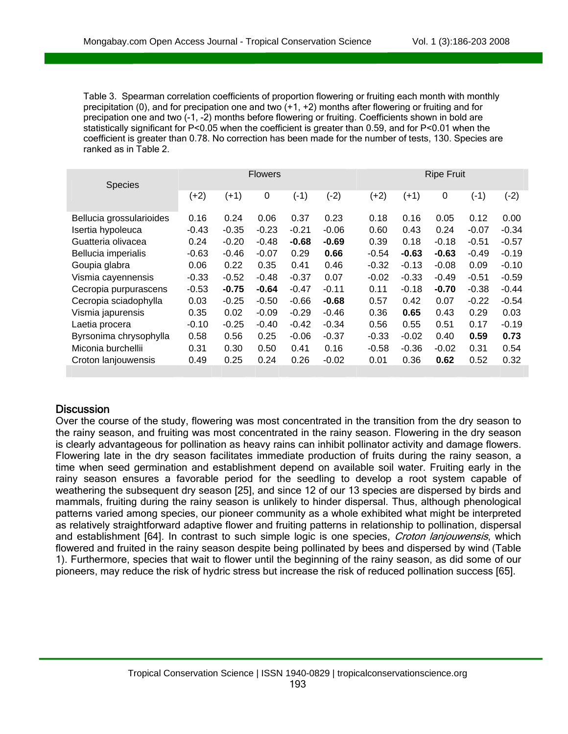Table 3. Spearman correlation coefficients of proportion flowering or fruiting each month with monthly precipitation (0), and for precipation one and two  $(+1, +2)$  months after flowering or fruiting and for precipation one and two (-1, -2) months before flowering or fruiting. Coefficients shown in bold are statistically significant for P<0.05 when the coefficient is greater than 0.59, and for P<0.01 when the coefficient is greater than 0.78. No correction has been made for the number of tests, 130. Species are ranked as in Table 2.

|                          | <b>Flowers</b> |         |             |         | <b>Ripe Fruit</b> |         |         |             |         |         |
|--------------------------|----------------|---------|-------------|---------|-------------------|---------|---------|-------------|---------|---------|
| <b>Species</b>           | $(+2)$         | $(+1)$  | $\mathbf 0$ | $(-1)$  | $(-2)$            | $(+2)$  | $(+1)$  | $\mathbf 0$ | (-1)    | (-2)    |
| Bellucia grossularioides | 0.16           | 0.24    | 0.06        | 0.37    | 0.23              | 0.18    | 0.16    | 0.05        | 0.12    | 0.00    |
| Isertia hypoleuca        | $-0.43$        | $-0.35$ | $-0.23$     | $-0.21$ | $-0.06$           | 0.60    | 0.43    | 0.24        | $-0.07$ | $-0.34$ |
| Guatteria olivacea       | 0.24           | $-0.20$ | $-0.48$     | $-0.68$ | $-0.69$           | 0.39    | 0.18    | $-0.18$     | $-0.51$ | $-0.57$ |
| Bellucia imperialis      | $-0.63$        | $-0.46$ | $-0.07$     | 0.29    | 0.66              | $-0.54$ | $-0.63$ | $-0.63$     | $-0.49$ | $-0.19$ |
| Goupia glabra            | 0.06           | 0.22    | 0.35        | 0.41    | 0.46              | $-0.32$ | $-0.13$ | $-0.08$     | 0.09    | $-0.10$ |
| Vismia cayennensis       | $-0.33$        | $-0.52$ | $-0.48$     | $-0.37$ | 0.07              | $-0.02$ | $-0.33$ | $-0.49$     | $-0.51$ | $-0.59$ |
| Cecropia purpurascens    | $-0.53$        | $-0.75$ | $-0.64$     | $-0.47$ | $-0.11$           | 0.11    | $-0.18$ | $-0.70$     | $-0.38$ | $-0.44$ |
| Cecropia sciadophylla    | 0.03           | $-0.25$ | $-0.50$     | $-0.66$ | $-0.68$           | 0.57    | 0.42    | 0.07        | $-0.22$ | $-0.54$ |
| Vismia japurensis        | 0.35           | 0.02    | $-0.09$     | $-0.29$ | $-0.46$           | 0.36    | 0.65    | 0.43        | 0.29    | 0.03    |
| Laetia procera           | $-0.10$        | $-0.25$ | $-0.40$     | $-0.42$ | $-0.34$           | 0.56    | 0.55    | 0.51        | 0.17    | $-0.19$ |
| Byrsonima chrysophylla   | 0.58           | 0.56    | 0.25        | $-0.06$ | $-0.37$           | $-0.33$ | $-0.02$ | 0.40        | 0.59    | 0.73    |
| Miconia burchellii       | 0.31           | 0.30    | 0.50        | 0.41    | 0.16              | $-0.58$ | $-0.36$ | $-0.02$     | 0.31    | 0.54    |
| Croton lanjouwensis      | 0.49           | 0.25    | 0.24        | 0.26    | $-0.02$           | 0.01    | 0.36    | 0.62        | 0.52    | 0.32    |
|                          |                |         |             |         |                   |         |         |             |         |         |

#### **Discussion**

Ī

 $\overline{a}$ 

Over the course of the study, flowering was most concentrated in the transition from the dry season to the rainy season, and fruiting was most concentrated in the rainy season. Flowering in the dry season is clearly advantageous for pollination as heavy rains can inhibit pollinator activity and damage flowers. Flowering late in the dry season facilitates immediate production of fruits during the rainy season, a time when seed germination and establishment depend on available soil water. Fruiting early in the rainy season ensures a favorable period for the seedling to develop a root system capable of weathering the subsequent dry season [25], and since 12 of our 13 species are dispersed by birds and mammals, fruiting during the rainy season is unlikely to hinder dispersal. Thus, although phenological patterns varied among species, our pioneer community as a whole exhibited what might be interpreted as relatively straightforward adaptive flower and fruiting patterns in relationship to pollination, dispersal and establishment [64]. In contrast to such simple logic is one species, *Croton lanjouwensis*, which flowered and fruited in the rainy season despite being pollinated by bees and dispersed by wind (Table 1). Furthermore, species that wait to flower until the beginning of the rainy season, as did some of our pioneers, may reduce the risk of hydric stress but increase the risk of reduced pollination success [65].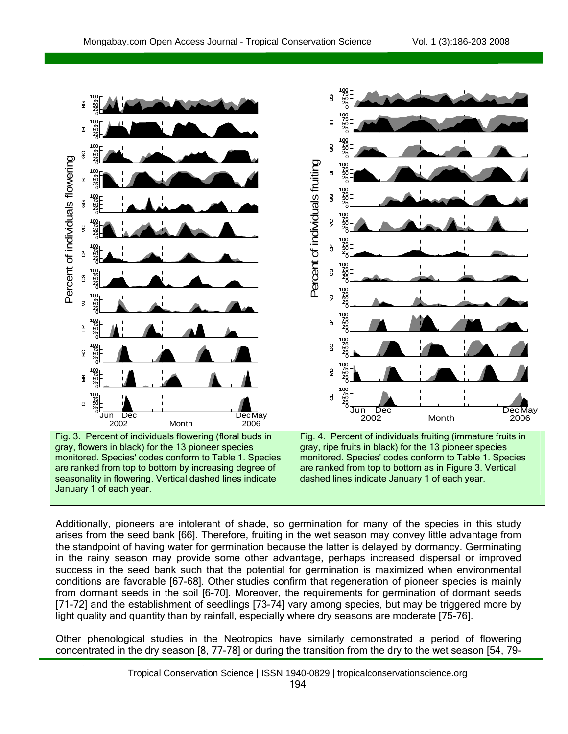Ī



Additionally, pioneers are intolerant of shade, so germination for many of the species in this study arises from the seed bank [66]. Therefore, fruiting in the wet season may convey little advantage from the standpoint of having water for germination because the latter is delayed by dormancy. Germinating in the rainy season may provide some other advantage, perhaps increased dispersal or improved success in the seed bank such that the potential for germination is maximized when environmental conditions are favorable [67-68]. Other studies confirm that regeneration of pioneer species is mainly from dormant seeds in the soil [6-70]. Moreover, the requirements for germination of dormant seeds [71-72] and the establishment of seedlings [73-74] vary among species, but may be triggered more by light quality and quantity than by rainfall, especially where dry seasons are moderate [75-76].

Other phenological studies in the Neotropics have similarly demonstrated a period of flowering concentrated in the dry season [8, 77-78] or during the transition from the dry to the wet season [54, 79-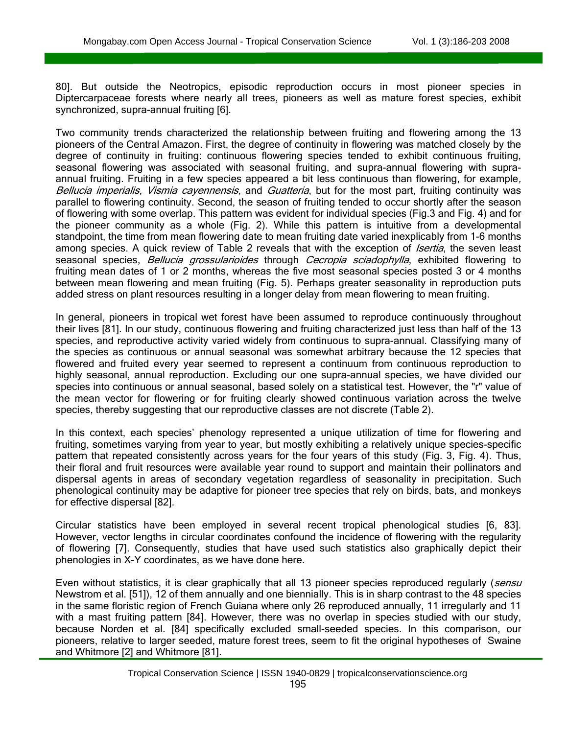Ī

80]. But outside the Neotropics, episodic reproduction occurs in most pioneer species in Diptercarpaceae forests where nearly all trees, pioneers as well as mature forest species, exhibit synchronized, supra-annual fruiting [6].

Two community trends characterized the relationship between fruiting and flowering among the 13 pioneers of the Central Amazon. First, the degree of continuity in flowering was matched closely by the degree of continuity in fruiting: continuous flowering species tended to exhibit continuous fruiting, seasonal flowering was associated with seasonal fruiting, and supra-annual flowering with supraannual fruiting. Fruiting in a few species appeared a bit less continuous than flowering, for example, Bellucia imperialis, Vismia cayennensis, and Guatteria, but for the most part, fruiting continuity was parallel to flowering continuity. Second, the season of fruiting tended to occur shortly after the season of flowering with some overlap. This pattern was evident for individual species (Fig.3 and Fig. 4) and for the pioneer community as a whole (Fig. 2). While this pattern is intuitive from a developmental standpoint, the time from mean flowering date to mean fruiting date varied inexplicably from 1-6 months among species. A quick review of Table 2 reveals that with the exception of *Isertia*, the seven least seasonal species, Bellucia grossularioides through Cecropia sciadophylla, exhibited flowering to fruiting mean dates of 1 or 2 months, whereas the five most seasonal species posted 3 or 4 months between mean flowering and mean fruiting (Fig. 5). Perhaps greater seasonality in reproduction puts added stress on plant resources resulting in a longer delay from mean flowering to mean fruiting.

In general, pioneers in tropical wet forest have been assumed to reproduce continuously throughout their lives [81]. In our study, continuous flowering and fruiting characterized just less than half of the 13 species, and reproductive activity varied widely from continuous to supra-annual. Classifying many of the species as continuous or annual seasonal was somewhat arbitrary because the 12 species that flowered and fruited every year seemed to represent a continuum from continuous reproduction to highly seasonal, annual reproduction. Excluding our one supra-annual species, we have divided our species into continuous or annual seasonal, based solely on a statistical test. However, the "r" value of the mean vector for flowering or for fruiting clearly showed continuous variation across the twelve species, thereby suggesting that our reproductive classes are not discrete (Table 2).

In this context, each species' phenology represented a unique utilization of time for flowering and fruiting, sometimes varying from year to year, but mostly exhibiting a relatively unique species-specific pattern that repeated consistently across years for the four years of this study (Fig. 3, Fig. 4). Thus, their floral and fruit resources were available year round to support and maintain their pollinators and dispersal agents in areas of secondary vegetation regardless of seasonality in precipitation. Such phenological continuity may be adaptive for pioneer tree species that rely on birds, bats, and monkeys for effective dispersal [82].

Circular statistics have been employed in several recent tropical phenological studies [6, 83]. However, vector lengths in circular coordinates confound the incidence of flowering with the regularity of flowering [7]. Consequently, studies that have used such statistics also graphically depict their phenologies in X-Y coordinates, as we have done here.

Even without statistics, it is clear graphically that all 13 pioneer species reproduced regularly (sensu Newstrom et al. [51]), 12 of them annually and one biennially. This is in sharp contrast to the 48 species in the same floristic region of French Guiana where only 26 reproduced annually, 11 irregularly and 11 with a mast fruiting pattern [84]. However, there was no overlap in species studied with our study, because Norden et al. [84] specifically excluded small-seeded species. In this comparison, our pioneers, relative to larger seeded, mature forest trees, seem to fit the original hypotheses of Swaine and Whitmore [2] and Whitmore [81].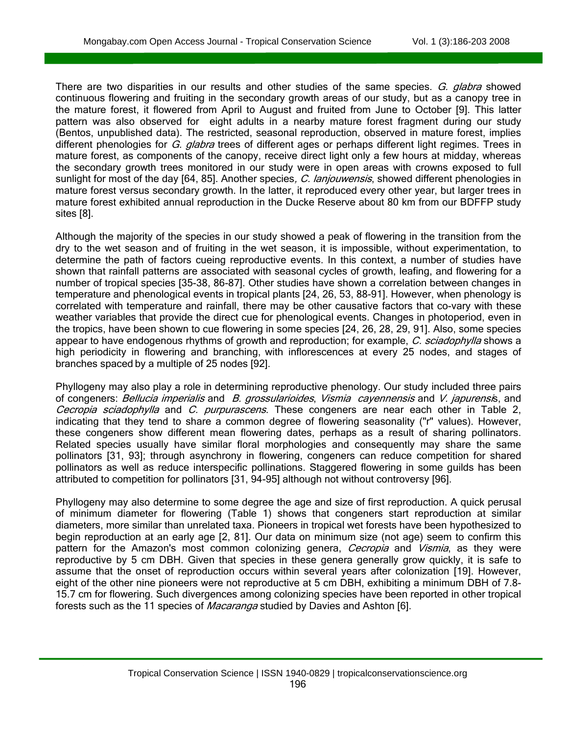Ī

There are two disparities in our results and other studies of the same species. G. glabra showed continuous flowering and fruiting in the secondary growth areas of our study, but as a canopy tree in the mature forest, it flowered from April to August and fruited from June to October [9]. This latter pattern was also observed for eight adults in a nearby mature forest fragment during our study (Bentos, unpublished data). The restricted, seasonal reproduction, observed in mature forest, implies different phenologies for G. glabra trees of different ages or perhaps different light regimes. Trees in mature forest, as components of the canopy, receive direct light only a few hours at midday, whereas the secondary growth trees monitored in our study were in open areas with crowns exposed to full sunlight for most of the day [64, 85]. Another species, C. lanjouwensis, showed different phenologies in mature forest versus secondary growth. In the latter, it reproduced every other year, but larger trees in mature forest exhibited annual reproduction in the Ducke Reserve about 80 km from our BDFFP study sites [8].

Although the majority of the species in our study showed a peak of flowering in the transition from the dry to the wet season and of fruiting in the wet season, it is impossible, without experimentation, to determine the path of factors cueing reproductive events. In this context, a number of studies have shown that rainfall patterns are associated with seasonal cycles of growth, leafing, and flowering for a number of tropical species [35-38, 86-87]. Other studies have shown a correlation between changes in temperature and phenological events in tropical plants [24, 26, 53, 88-91]. However, when phenology is correlated with temperature and rainfall, there may be other causative factors that co-vary with these weather variables that provide the direct cue for phenological events. Changes in photoperiod, even in the tropics, have been shown to cue flowering in some species [24, 26, 28, 29, 91]. Also, some species appear to have endogenous rhythms of growth and reproduction; for example, C. sciadophylla shows a high periodicity in flowering and branching, with inflorescences at every 25 nodes, and stages of branches spaced by a multiple of 25 nodes [92].

Phyllogeny may also play a role in determining reproductive phenology. Our study included three pairs of congeners: Bellucia imperialis and B. grossularioides, Vismia cayennensis and V. japurensis, and Cecropia sciadophylla and C. purpurascens. These congeners are near each other in Table 2, indicating that they tend to share a common degree of flowering seasonality ("r" values). However, these congeners show different mean flowering dates, perhaps as a result of sharing pollinators. Related species usually have similar floral morphologies and consequently may share the same pollinators [31, 93]; through asynchrony in flowering, congeners can reduce competition for shared pollinators as well as reduce interspecific pollinations. Staggered flowering in some guilds has been attributed to competition for pollinators [31, 94-95] although not without controversy [96].

Phyllogeny may also determine to some degree the age and size of first reproduction. A quick perusal of minimum diameter for flowering (Table 1) shows that congeners start reproduction at similar diameters, more similar than unrelated taxa. Pioneers in tropical wet forests have been hypothesized to begin reproduction at an early age [2, 81]. Our data on minimum size (not age) seem to confirm this pattern for the Amazon's most common colonizing genera, Cecropia and Vismia, as they were reproductive by 5 cm DBH. Given that species in these genera generally grow quickly, it is safe to assume that the onset of reproduction occurs within several years after colonization [19]. However, eight of the other nine pioneers were not reproductive at 5 cm DBH, exhibiting a minimum DBH of 7.8- 15.7 cm for flowering. Such divergences among colonizing species have been reported in other tropical forests such as the 11 species of *Macaranga* studied by Davies and Ashton [6].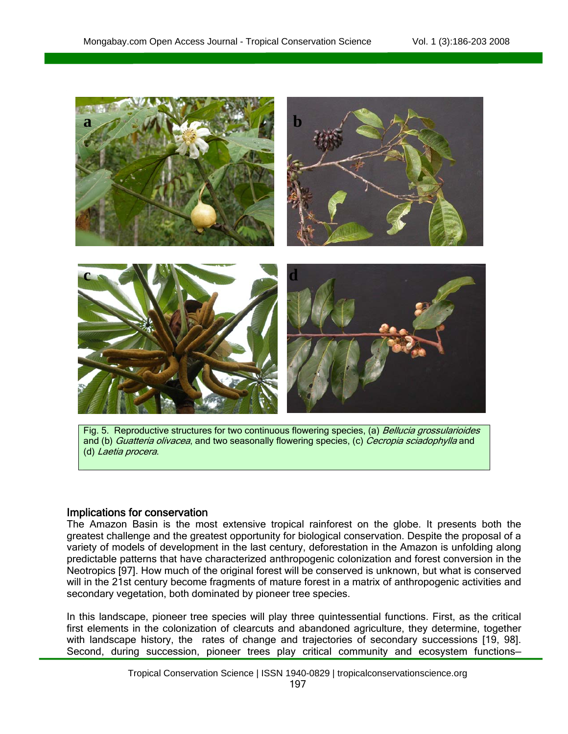

Fig. 5. Reproductive structures for two continuous flowering species, (a) Bellucia grossularioides and (b) *Guatteria olivacea*, and two seasonally flowering species, (c) *Cecropia sciadophylla* and (d) Laetia procera.

#### Implications for conservation

Ī

The Amazon Basin is the most extensive tropical rainforest on the globe. It presents both the greatest challenge and the greatest opportunity for biological conservation. Despite the proposal of a variety of models of development in the last century, deforestation in the Amazon is unfolding along predictable patterns that have characterized anthropogenic colonization and forest conversion in the Neotropics [97]. How much of the original forest will be conserved is unknown, but what is conserved will in the 21st century become fragments of mature forest in a matrix of anthropogenic activities and secondary vegetation, both dominated by pioneer tree species.

In this landscape, pioneer tree species will play three quintessential functions. First, as the critical first elements in the colonization of clearcuts and abandoned agriculture, they determine, together with landscape history, the rates of change and trajectories of secondary successions [19, 98]. Second, during succession, pioneer trees play critical community and ecosystem functions—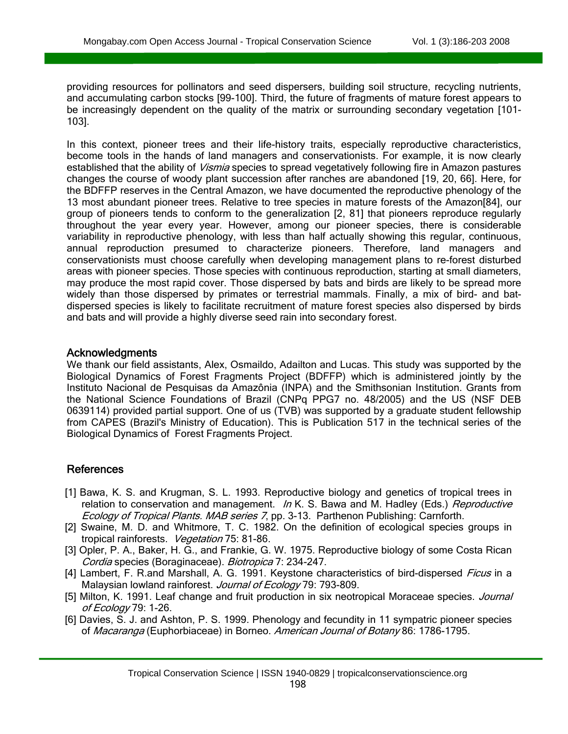providing resources for pollinators and seed dispersers, building soil structure, recycling nutrients, and accumulating carbon stocks [99-100]. Third, the future of fragments of mature forest appears to be increasingly dependent on the quality of the matrix or surrounding secondary vegetation [101- 103].

In this context, pioneer trees and their life-history traits, especially reproductive characteristics, become tools in the hands of land managers and conservationists. For example, it is now clearly established that the ability of *Vismia* species to spread vegetatively following fire in Amazon pastures changes the course of woody plant succession after ranches are abandoned [19, 20, 66]. Here, for the BDFFP reserves in the Central Amazon, we have documented the reproductive phenology of the 13 most abundant pioneer trees. Relative to tree species in mature forests of the Amazon[84], our group of pioneers tends to conform to the generalization [2, 81] that pioneers reproduce regularly throughout the year every year. However, among our pioneer species, there is considerable variability in reproductive phenology, with less than half actually showing this regular, continuous, annual reproduction presumed to characterize pioneers. Therefore, land managers and conservationists must choose carefully when developing management plans to re-forest disturbed areas with pioneer species. Those species with continuous reproduction, starting at small diameters, may produce the most rapid cover. Those dispersed by bats and birds are likely to be spread more widely than those dispersed by primates or terrestrial mammals. Finally, a mix of bird- and batdispersed species is likely to facilitate recruitment of mature forest species also dispersed by birds and bats and will provide a highly diverse seed rain into secondary forest.

#### Acknowledgments

 $\overline{a}$ 

We thank our field assistants, Alex, Osmaildo, Adailton and Lucas. This study was supported by the Biological Dynamics of Forest Fragments Project (BDFFP) which is administered jointly by the Instituto Nacional de Pesquisas da Amazônia (INPA) and the Smithsonian Institution. Grants from the National Science Foundations of Brazil (CNPq PPG7 no. 48/2005) and the US (NSF DEB 0639114) provided partial support. One of us (TVB) was supported by a graduate student fellowship from CAPES (Brazil's Ministry of Education). This is Publication 517 in the technical series of the Biological Dynamics of Forest Fragments Project.

#### References

- [1] Bawa, K. S. and Krugman, S. L. 1993. Reproductive biology and genetics of tropical trees in relation to conservation and management. In K. S. Bawa and M. Hadley (Eds.) Reproductive Ecology of Tropical Plants. MAB series 7, pp. 3-13. Parthenon Publishing: Carnforth.
- [2] Swaine, M. D. and Whitmore, T. C. 1982. On the definition of ecological species groups in tropical rainforests. Vegetation 75: 81-86.
- [3] Opler, P. A., Baker, H. G., and Frankie, G. W. 1975. Reproductive biology of some Costa Rican Cordia species (Boraginaceae). Biotropica 7: 234-247.
- [4] Lambert, F. R.and Marshall, A. G. 1991. Keystone characteristics of bird-dispersed *Ficus* in a Malaysian lowland rainforest. Journal of Ecology 79: 793-809.
- [5] Milton, K. 1991. Leaf change and fruit production in six neotropical Moraceae species. Journal of Ecology 79: 1-26.
- [6] Davies, S. J. and Ashton, P. S. 1999. Phenology and fecundity in 11 sympatric pioneer species of Macaranga (Euphorbiaceae) in Borneo. American Journal of Botany 86: 1786-1795.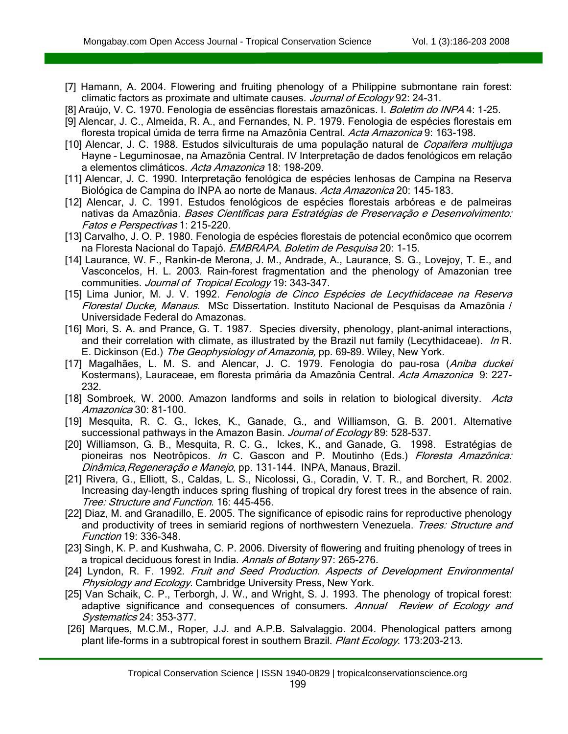- [7] Hamann, A. 2004. Flowering and fruiting phenology of a Philippine submontane rain forest: climatic factors as proximate and ultimate causes. Journal of Ecology 92: 24-31.
- [8] Araújo, V. C. 1970. Fenologia de essências florestais amazônicas. I. *Boletim do INPA* 4: 1-25.
- [9] Alencar, J. C., Almeida, R. A., and Fernandes, N. P. 1979. Fenologia de espécies florestais em floresta tropical úmida de terra firme na Amazônia Central. Acta Amazonica 9: 163-198.
- [10] Alencar, J. C. 1988. Estudos silviculturais de uma população natural de Copaifera multijuga Hayne – Leguminosae, na Amazônia Central. IV Interpretação de dados fenológicos em relação a elementos climáticos. Acta Amazonica 18: 198-209.
- [11] Alencar, J. C. 1990. Interpretação fenológica de espécies lenhosas de Campina na Reserva Biológica de Campina do INPA ao norte de Manaus. Acta Amazonica 20: 145-183.
- [12] Alencar, J. C. 1991. Estudos fenológicos de espécies florestais arbóreas e de palmeiras nativas da Amazônia. Bases Científicas para Estratégias de Preservação e Desenvolvimento: Fatos e Perspectivas 1: 215-220.
- [13] Carvalho, J. O. P. 1980. Fenologia de espécies florestais de potencial econômico que ocorrem na Floresta Nacional do Tapajó. EMBRAPA. Boletim de Pesquisa 20: 1-15.
- [14] Laurance, W. F., Rankin-de Merona, J. M., Andrade, A., Laurance, S. G., Lovejoy, T. E., and Vasconcelos, H. L. 2003. Rain-forest fragmentation and the phenology of Amazonian tree communities. Journal of Tropical Ecology 19: 343-347.
- [15] Lima Junior, M. J. V. 1992. Fenologia de Cinco Espécies de Lecythidaceae na Reserva Florestal Ducke, Manaus. MSc Dissertation. Instituto Nacional de Pesquisas da Amazônia / Universidade Federal do Amazonas.
- [16] Mori, S. A. and Prance, G. T. 1987. Species diversity, phenology, plant-animal interactions, and their correlation with climate, as illustrated by the Brazil nut family (Lecythidaceae). In R. E. Dickinson (Ed.) The Geophysiology of Amazonia, pp. 69-89. Wiley, New York.
- [17] Magalhães, L. M. S. and Alencar, J. C. 1979. Fenologia do pau-rosa (Aniba duckei Kostermans), Lauraceae, em floresta primária da Amazônia Central. Acta Amazonica 9: 227-232.
- [18] Sombroek, W. 2000. Amazon landforms and soils in relation to biological diversity. Acta Amazonica 30: 81-100.
- [19] Mesquita, R. C. G., Ickes, K., Ganade, G., and Williamson, G. B. 2001. Alternative successional pathways in the Amazon Basin. Journal of Ecology 89: 528-537.
- [20] Williamson, G. B., Mesquita, R. C. G., Ickes, K., and Ganade, G. 1998. Estratégias de pioneiras nos Neotrôpicos. In C. Gascon and P. Moutinho (Eds.) Floresta Amazônica: Dinâmica, Regeneração e Manejo, pp. 131-144. INPA, Manaus, Brazil.
- [21] Rivera, G., Elliott, S., Caldas, L. S., Nicolossi, G., Coradin, V. T. R., and Borchert, R. 2002. Increasing day-length induces spring flushing of tropical dry forest trees in the absence of rain. Tree: Structure and Function. 16: 445-456.
- [22] Diaz, M. and Granadillo, E. 2005. The significance of episodic rains for reproductive phenology and productivity of trees in semiarid regions of northwestern Venezuela. Trees: Structure and Function 19: 336-348.
- [23] Singh, K. P. and Kushwaha, C. P. 2006. Diversity of flowering and fruiting phenology of trees in a tropical deciduous forest in India. Annals of Botany 97: 265-276.
- [24] Lyndon, R. F. 1992. Fruit and Seed Production. Aspects of Development Environmental Physiology and Ecology. Cambridge University Press, New York.
- [25] Van Schaik, C. P., Terborgh, J. W., and Wright, S. J. 1993. The phenology of tropical forest: adaptive significance and consequences of consumers. Annual Review of Ecology and Systematics 24: 353-377.
- [26] Marques, M.C.M., Roper, J.J. and A.P.B. Salvalaggio. 2004. Phenological patters among plant life-forms in a subtropical forest in southern Brazil. Plant Ecology. 173:203-213.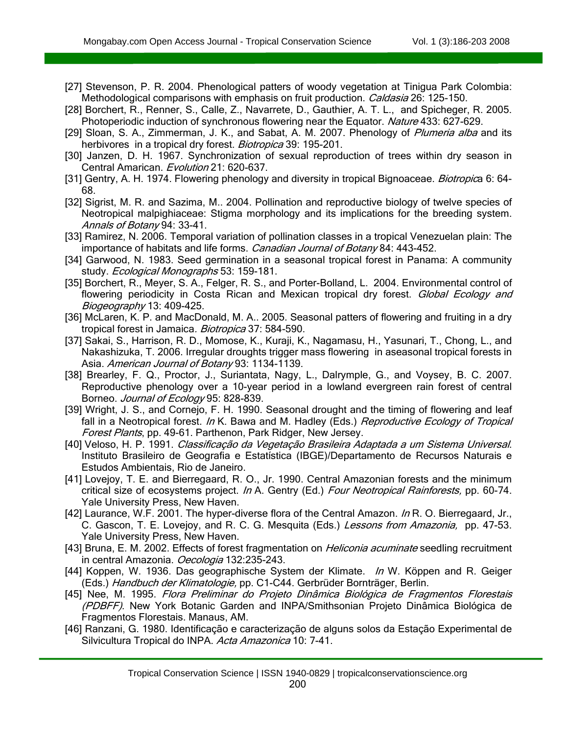- [27] Stevenson, P. R. 2004. Phenological patters of woody vegetation at Tinigua Park Colombia: Methodological comparisons with emphasis on fruit production. Caldasia 26: 125-150.
- [28] Borchert, R., Renner, S., Calle, Z., Navarrete, D., Gauthier, A. T. L., and Spicheger, R. 2005. Photoperiodic induction of synchronous flowering near the Equator. Nature 433: 627-629.
- [29] Sloan, S. A., Zimmerman, J. K., and Sabat, A. M. 2007. Phenology of Plumeria alba and its herbivores in a tropical dry forest. Biotropica 39: 195-201.
- [30] Janzen, D. H. 1967. Synchronization of sexual reproduction of trees within dry season in Central Amarican. Evolution 21: 620-637.
- [31] Gentry, A. H. 1974. Flowering phenology and diversity in tropical Bignoaceae. *Biotropic*a 6: 64-68.
- [32] Sigrist, M. R. and Sazima, M.. 2004. Pollination and reproductive biology of twelve species of Neotropical malpighiaceae: Stigma morphology and its implications for the breeding system. Annals of Botany 94: 33-41.
- [33] Ramirez, N. 2006. Temporal variation of pollination classes in a tropical Venezuelan plain: The importance of habitats and life forms. Canadian Journal of Botany 84: 443-452.
- [34] Garwood, N. 1983. Seed germination in a seasonal tropical forest in Panama: A community study. Ecological Monographs 53: 159-181.
- [35] Borchert, R., Meyer, S. A., Felger, R. S., and Porter-Bolland, L. 2004. Environmental control of flowering periodicity in Costa Rican and Mexican tropical dry forest. Global Ecology and Biogeography 13: 409-425.
- [36] McLaren, K. P. and MacDonald, M. A.. 2005. Seasonal patters of flowering and fruiting in a dry tropical forest in Jamaica. Biotropica 37: 584-590.
- [37] Sakai, S., Harrison, R. D., Momose, K., Kuraji, K., Nagamasu, H., Yasunari, T., Chong, L., and Nakashizuka, T. 2006. Irregular droughts trigger mass flowering in aseasonal tropical forests in Asia. American Journal of Botany 93: 1134-1139.
- [38] Brearley, F. Q., Proctor, J., Suriantata, Nagy, L., Dalrymple, G., and Voysey, B. C. 2007. Reproductive phenology over a 10-year period in a lowland evergreen rain forest of central Borneo. Journal of Ecology 95: 828-839.
- [39] Wright, J. S., and Cornejo, F. H. 1990. Seasonal drought and the timing of flowering and leaf fall in a Neotropical forest. In K. Bawa and M. Hadley (Eds.) Reproductive Ecology of Tropical Forest Plants, pp. 49-61. Parthenon, Park Ridger, New Jersey.
- [40] Veloso, H. P. 1991. Classificação da Vegetação Brasileira Adaptada a um Sistema Universal. Instituto Brasileiro de Geografia e Estatística (IBGE)/Departamento de Recursos Naturais e Estudos Ambientais, Rio de Janeiro.
- [41] Lovejoy, T. E. and Bierregaard, R. O., Jr. 1990. Central Amazonian forests and the minimum critical size of ecosystems project. In A. Gentry (Ed.) Four Neotropical Rainforests, pp. 60-74. Yale University Press, New Haven.
- [42] Laurance, W.F. 2001. The hyper-diverse flora of the Central Amazon. In R. O. Bierregaard, Jr., C. Gascon, T. E. Lovejoy, and R. C. G. Mesquita (Eds.) Lessons from Amazonia, pp. 47-53. Yale University Press, New Haven.
- [43] Bruna, E. M. 2002. Effects of forest fragmentation on *Heliconia acuminate* seedling recruitment in central Amazonia. Oecologia 132:235-243.
- [44] Koppen, W. 1936. Das geographische System der Klimate. *In* W. Köppen and R. Geiger (Eds.) Handbuch der Klimatologie, pp. C1-C44. Gerbrüder Bornträger, Berlin.
- [45] Nee, M. 1995. Flora Preliminar do Projeto Dinâmica Biológica de Fragmentos Florestais (PDBFF). New York Botanic Garden and INPA/Smithsonian Projeto Dinâmica Biológica de Fragmentos Florestais. Manaus, AM.
- [46] Ranzani, G. 1980. Identificação e caracterização de alguns solos da Estação Experimental de Silvicultura Tropical do INPA. Acta Amazonica 10: 7-41.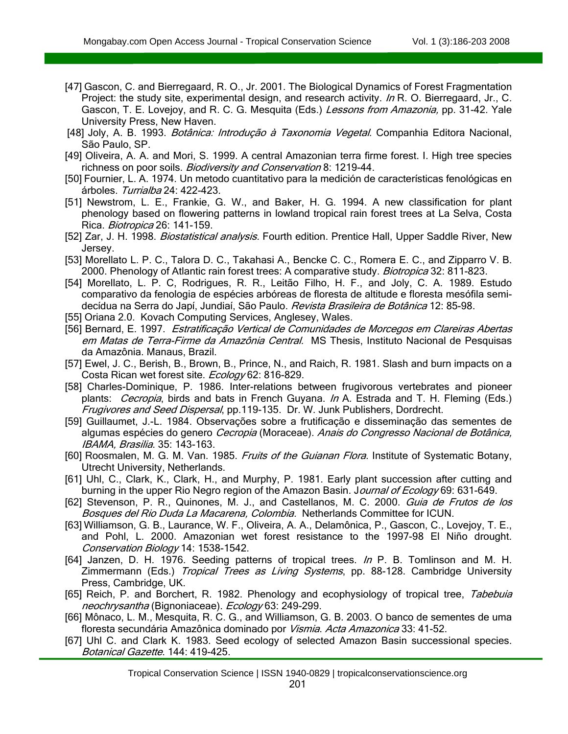- [47] Gascon, C. and Bierregaard, R. O., Jr. 2001. The Biological Dynamics of Forest Fragmentation Project: the study site, experimental design, and research activity. In R. O. Bierregaard, Jr., C. Gascon, T. E. Lovejoy, and R. C. G. Mesquita (Eds.) Lessons from Amazonia, pp. 31-42. Yale University Press, New Haven.
- [48] Joly, A. B. 1993. Botânica: Introdução à Taxonomia Vegetal. Companhia Editora Nacional, São Paulo, SP.
- [49] Oliveira, A. A. and Mori, S. 1999. A central Amazonian terra firme forest. I. High tree species richness on poor soils. Biodiversity and Conservation 8: 1219-44.
- [50] Fournier, L. A. 1974. Un metodo cuantitativo para la medición de características fenológicas en árboles. Turrialba 24: 422-423.
- [51] Newstrom, L. E., Frankie, G. W., and Baker, H. G. 1994. A new classification for plant phenology based on flowering patterns in lowland tropical rain forest trees at La Selva, Costa Rica. Biotropica 26: 141-159.
- [52] Zar, J. H. 1998. *Biostatistical analysis.* Fourth edition. Prentice Hall, Upper Saddle River, New Jersey.
- [53] Morellato L. P. C., Talora D. C., Takahasi A., Bencke C. C., Romera E. C., and Zipparro V. B. 2000. Phenology of Atlantic rain forest trees: A comparative study. *Biotropica* 32: 811-823.
- [54] Morellato, L. P. C, Rodrigues, R. R., Leitão Filho, H. F., and Joly, C. A. 1989. Estudo comparativo da fenologia de espécies arbóreas de floresta de altitude e floresta mesófila semidecídua na Serra do Japí, Jundiaí, São Paulo. Revista Brasileira de Botânica 12: 85-98.
- [55] Oriana 2.0. Kovach Computing Services, Anglesey, Wales.
- [56] Bernard, E. 1997. Estratificação Vertical de Comunidades de Morcegos em Clareiras Abertas em Matas de Terra-Firme da Amazônia Central. MS Thesis, Instituto Nacional de Pesquisas da Amazônia. Manaus, Brazil.
- [57] Ewel, J. C., Berish, B., Brown, B., Prince, N., and Raich, R. 1981. Slash and burn impacts on a Costa Rican wet forest site. Ecology 62: 816-829.
- [58] Charles-Dominique, P. 1986. Inter-relations between frugivorous vertebrates and pioneer plants: *Cecropia*, birds and bats in French Guyana. In A. Estrada and T. H. Fleming (Eds.) Frugivores and Seed Dispersal, pp.119-135. Dr. W. Junk Publishers, Dordrecht.
- [59] Guillaumet, J.-L. 1984. Observações sobre a frutificação e disseminação das sementes de algumas espécies do genero Cecropia (Moraceae). Anais do Congresso Nacional de Botânica, IBAMA, Brasilia. 35: 143-163.
- [60] Roosmalen, M. G. M. Van. 1985. Fruits of the Guianan Flora. Institute of Systematic Botany, Utrecht University, Netherlands.
- [61] Uhl, C., Clark, K., Clark, H., and Murphy, P. 1981. Early plant succession after cutting and burning in the upper Rio Negro region of the Amazon Basin. Journal of Ecology 69: 631-649.
- [62] Stevenson, P. R., Quinones, M. J., and Castellanos, M. C. 2000. Guia de Frutos de los Bosques del Rio Duda La Macarena, Colombia. Netherlands Committee for ICUN.
- [63] Williamson, G. B., Laurance, W. F., Oliveira, A. A., Delamônica, P., Gascon, C., Lovejoy, T. E., and Pohl, L. 2000. Amazonian wet forest resistance to the 1997-98 El Niño drought. Conservation Biology 14: 1538-1542.
- [64] Janzen, D. H. 1976. Seeding patterns of tropical trees. In P. B. Tomlinson and M. H. Zimmermann (Eds.) *Tropical Trees as Living Systems*, pp. 88-128. Cambridge University Press, Cambridge, UK.
- [65] Reich, P. and Borchert, R. 1982. Phenology and ecophysiology of tropical tree, Tabebuia neochrysantha (Bignoniaceae). Ecology 63: 249-299.
- [66] Mônaco, L. M., Mesquita, R. C. G., and Williamson, G. B. 2003. O banco de sementes de uma floresta secundária Amazônica dominado por Vismia. Acta Amazonica 33: 41-52.
- [67] Uhl C. and Clark K. 1983. Seed ecology of selected Amazon Basin successional species. Botanical Gazette. 144: 419-425.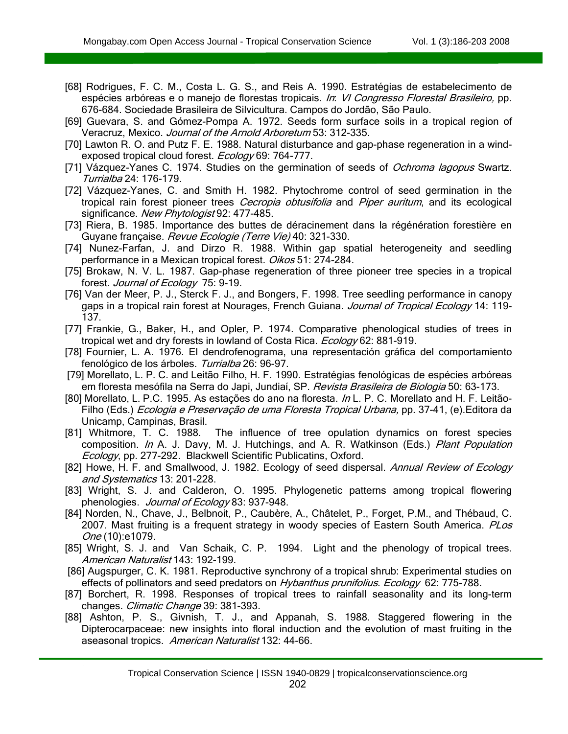- [68] Rodrigues, F. C. M., Costa L. G. S., and Reis A. 1990. Estratégias de estabelecimento de espécies arbóreas e o manejo de florestas tropicais. In: VI Congresso Florestal Brasileiro, pp. 676-684. Sociedade Brasileira de Silvicultura. Campos do Jordão, São Paulo.
- [69] Guevara, S. and Gómez-Pompa A. 1972. Seeds form surface soils in a tropical region of Veracruz, Mexico. Journal of the Arnold Arboretum 53: 312-335.
- [70] Lawton R. O. and Putz F. E. 1988. Natural disturbance and gap-phase regeneration in a windexposed tropical cloud forest. Ecology 69: 764-777.
- [71] Vázquez-Yanes C. 1974. Studies on the germination of seeds of Ochroma lagopus Swartz. Turrialba 24: 176-179.
- [72] Vázquez-Yanes, C. and Smith H. 1982. Phytochrome control of seed germination in the tropical rain forest pioneer trees *Cecropia obtusifolia* and *Piper auritum*, and its ecological significance. New Phytologist 92: 477-485.
- [73] Riera, B. 1985. Importance des buttes de déracinement dans la régénération forestière en Guyane française. Revue Ecologie (Terre Vie) 40: 321-330.
- [74] Nunez-Farfan, J. and Dirzo R. 1988. Within gap spatial heterogeneity and seedling performance in a Mexican tropical forest. Oikos 51: 274-284.
- [75] Brokaw, N. V. L. 1987. Gap-phase regeneration of three pioneer tree species in a tropical forest. Journal of Ecology 75: 9-19.
- [76] Van der Meer, P. J., Sterck F. J., and Bongers, F. 1998. Tree seedling performance in canopy gaps in a tropical rain forest at Nourages, French Guiana. Journal of Tropical Ecology 14: 119-137.
- [77] Frankie, G., Baker, H., and Opler, P. 1974. Comparative phenological studies of trees in tropical wet and dry forests in lowland of Costa Rica. Ecology 62: 881-919.
- [78] Fournier, L. A. 1976. El dendrofenograma, una representación gráfica del comportamiento fenológico de los árboles. Turrialba 26: 96-97.
- [79] Morellato, L. P. C. and Leitão Filho, H. F. 1990. Estratégias fenológicas de espécies arbóreas em floresta mesófila na Serra do Japi, Jundiaí, SP. Revista Brasileira de Biologia 50: 63-173.
- [80] Morellato, L. P.C. 1995. As estações do ano na floresta. In L. P. C. Morellato and H. F. Leitão-Filho (Eds.) *Ecologia e Preservação de uma Floresta Tropical Urbana*, pp. 37-41, (e).Editora da Unicamp, Campinas, Brasil.
- [81] Whitmore, T. C. 1988. The influence of tree opulation dynamics on forest species composition. In A. J. Davy, M. J. Hutchings, and A. R. Watkinson (Eds.) Plant Population Ecology, pp. 277-292. Blackwell Scientific Publicatins, Oxford.
- [82] Howe, H. F. and Smallwood, J. 1982. Ecology of seed dispersal. Annual Review of Ecology and Systematics 13: 201-228.
- [83] Wright, S. J. and Calderon, O. 1995. Phylogenetic patterns among tropical flowering phenologies. Journal of Ecology 83: 937-948.
- [84] Norden, N., Chave, J., Belbnoit, P., Caubère, A., Châtelet, P., Forget, P.M., and Thébaud, C. 2007. Mast fruiting is a frequent strategy in woody species of Eastern South America. PLos One (10):e1079.
- [85] Wright, S. J. and Van Schaik, C. P. 1994. Light and the phenology of tropical trees. American Naturalist 143: 192-199.
- [86] Augspurger, C. K. 1981. Reproductive synchrony of a tropical shrub: Experimental studies on effects of pollinators and seed predators on Hybanthus prunifolius. Ecology 62: 775-788.
- [87] Borchert, R. 1998. Responses of tropical trees to rainfall seasonality and its long-term changes. Climatic Change 39: 381-393.
- [88] Ashton, P. S., Givnish, T. J., and Appanah, S. 1988. Staggered flowering in the Dipterocarpaceae: new insights into floral induction and the evolution of mast fruiting in the aseasonal tropics. American Naturalist 132: 44-66.